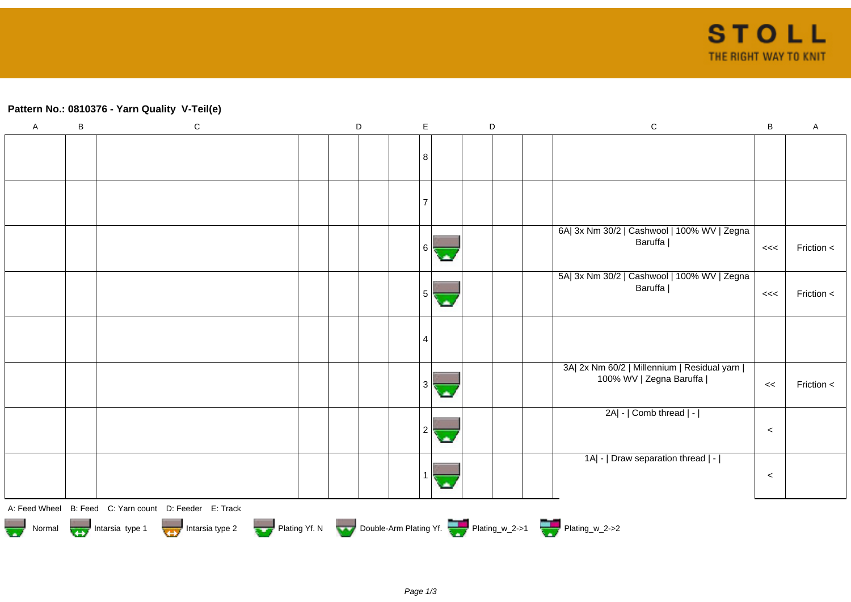## **Pattern No.: 0810376 - Yarn Quality V-Teil(e)**

| $\overline{A}$ | $\sf B$ | ${\bf C}$                                                                                  | D | $\mathsf E$    | $\mathsf D$ | ${\bf C}$                                              | B       | $\boldsymbol{\mathsf{A}}$ |
|----------------|---------|--------------------------------------------------------------------------------------------|---|----------------|-------------|--------------------------------------------------------|---------|---------------------------|
|                |         |                                                                                            |   |                |             |                                                        |         |                           |
|                |         |                                                                                            |   | 8              |             |                                                        |         |                           |
|                |         |                                                                                            |   |                |             |                                                        |         |                           |
|                |         |                                                                                            |   |                |             |                                                        |         |                           |
|                |         |                                                                                            |   | $\overline{7}$ |             |                                                        |         |                           |
|                |         |                                                                                            |   |                |             |                                                        |         |                           |
|                |         |                                                                                            |   | 6              |             | 6A  3x Nm 30/2   Cashwool   100% WV   Zegna<br>Baruffa | <<      | Friction <                |
|                |         |                                                                                            |   |                |             | 5A  3x Nm 30/2   Cashwool   100% WV   Zegna            |         |                           |
|                |         |                                                                                            |   | 5.             |             | Baruffa                                                | <<      | Friction <                |
|                |         |                                                                                            |   |                |             |                                                        |         |                           |
|                |         |                                                                                            |   | 4              |             |                                                        |         |                           |
|                |         |                                                                                            |   |                |             | 3A  2x Nm 60/2   Millennium   Residual yarn            |         |                           |
|                |         |                                                                                            |   | 3              |             | 100% WV   Zegna Baruffa                                | <<      | Friction <                |
|                |         |                                                                                            |   |                |             | $2A$ - $ $ Comb thread $ $ - $ $                       |         |                           |
|                |         |                                                                                            |   |                |             |                                                        | $\,<$   |                           |
|                |         |                                                                                            |   |                |             | 1A  -   Draw separation thread   -                     |         |                           |
|                |         |                                                                                            |   |                |             |                                                        | $\prec$ |                           |
|                |         | A: Feed Wheel B: Feed C: Yarn count D: Feeder E: Track                                     |   |                |             |                                                        |         |                           |
|                |         | Normal Intarsia type 1 Intarsia type 2 Plating Yf. N Double-Arm Plating Yf. Thating_w_2->1 |   |                |             |                                                        |         |                           |
|                |         |                                                                                            |   |                |             |                                                        |         |                           |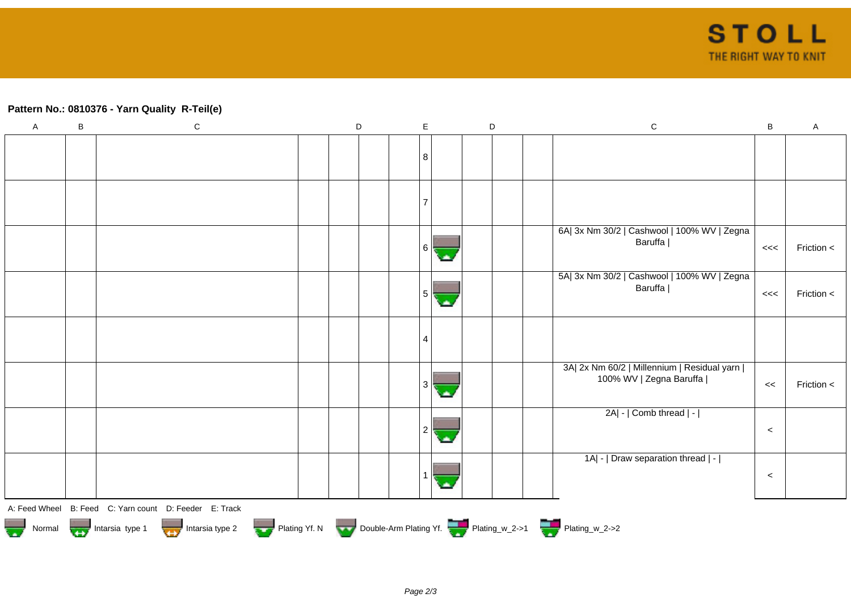## **Pattern No.: 0810376 - Yarn Quality R-Teil(e)**

| $\overline{A}$ | B | ${\bf C}$                                                                                  | D | $\mathsf E$ | D | ${\bf C}$                                                                | B       | $\mathsf{A}$ |
|----------------|---|--------------------------------------------------------------------------------------------|---|-------------|---|--------------------------------------------------------------------------|---------|--------------|
|                |   |                                                                                            |   | 8           |   |                                                                          |         |              |
|                |   |                                                                                            |   |             |   |                                                                          |         |              |
|                |   |                                                                                            |   |             |   |                                                                          |         |              |
|                |   |                                                                                            |   | 6 I         |   | 6A  3x Nm 30/2   Cashwool   100% WV   Zegna<br>Baruffa                   | <<      | Friction <   |
|                |   |                                                                                            |   | 5           |   | 5A  3x Nm 30/2   Cashwool   100% WV   Zegna<br>Baruffa                   | <<      | Friction <   |
|                |   |                                                                                            |   | 4           |   |                                                                          |         |              |
|                |   |                                                                                            |   | 3           |   | 3A  2x Nm 60/2   Millennium   Residual yarn  <br>100% WV   Zegna Baruffa | <<      | Friction <   |
|                |   |                                                                                            |   |             |   | 2A  -   Comb thread   -                                                  | $\prec$ |              |
|                |   |                                                                                            |   |             |   | 1A  -   Draw separation thread   -                                       | $\prec$ |              |
|                |   | A: Feed Wheel B: Feed C: Yarn count D: Feeder E: Track                                     |   |             |   |                                                                          |         |              |
|                |   | Normal Intarsia type 1 Intarsia type 2 Plating Yf. N Double-Arm Plating Yf. Thating_w_2->1 |   |             |   |                                                                          |         |              |